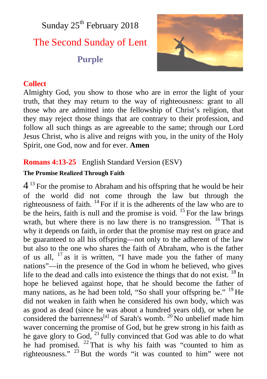Sunday  $25<sup>th</sup>$  February 2018 The Second Sunday of Lent **Purple**



#### **Collect**

Almighty God, you show to those who are in error the light of your truth, that they may return to the way of righteousness: grant to all those who are admitted into the fellowship of Christ's religion, that they may reject those things that are contrary to their profession, and follow all such things as are agreeable to the same; through our Lord Jesus Christ, who is alive and reigns with you, in the unity of the Holy Spirit, one God, now and for ever. **Amen**

## **Romans 4:13-25** English Standard Version (ESV)

#### **The Promise Realized Through Faith**

 $4<sup>13</sup>$  For the promise to Abraham and his offspring that he would be heir of the world did not come through the law but through the righteousness of faith. <sup>14</sup> For if it is the adherents of the law who are to be the heirs, faith is null and the promise is void.  $^{15}$  For the law brings wrath, but where there is no law there is no transgression. <sup>16</sup> That is why it depends on faith, in order that the promise may rest on grace and be guaranteed to all his offspring—not only to the adherent of the law but also to the one who shares the faith of Abraham, who is the father of us all, <sup>17</sup> as it is written, "I have made you the father of many nations"—in the presence of the God in whom he believed, who gives life to the dead and calls into existence the things that do not exist.  $^{18}$  In hope he believed against hope, that he should become the father of many nations, as he had been told, "So shall your offspring be." <sup>19</sup> He did not weaken in faith when he considered his own body, which was as good as dead (since he was about a hundred years old), or when he considered the barrenness<sup>[a]</sup> of Sarah's womb.  $^{20}$  No unbelief made him waver concerning the promise of God, but he grew strong in his faith as he gave glory to God, <sup>21</sup> fully convinced that God was able to do what he had promised. <sup>22</sup> That is why his faith was "counted to him as righteousness." <sup>23</sup> But the words "it was counted to him" were not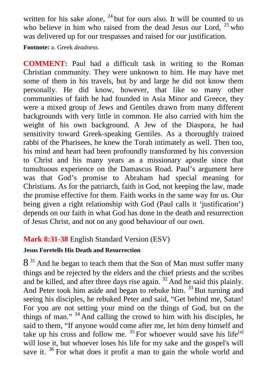written for his sake alone,  $24$  but for ours also. It will be counted to us who believe in him who raised from the dead Jesus our Lord,  $25$  who was delivered up for our trespasses and raised for our justification.

**Footnote:** a. Greek *deadness*.

**COMMENT:** Paul had a difficult task in writing to the Roman Christian community. They were unknown to him. He may have met some of them in his travels, but by and large he did not know them personally. He did know, however, that like so many other communities of faith he had founded in Asia Minor and Greece, they were a mixed group of Jews and Gentiles drawn from many different backgrounds with very little in common. He also carried with him the weight of his own background. A Jew of the Diaspora, he had sensitivity toward Greek-speaking Gentiles. As a thoroughly trained rabbi of the Pharisees, he knew the Torah intimately as well. Then too, his mind and heart had been profoundly transformed by his conversion to Christ and his many years as a missionary apostle since that tumultuous experience on the Damascus Road. Paul's argument here was that God's promise to Abraham had special meaning for Christians. As for the patriarch, faith in God, not keeping the law, made the promise effective for them. Faith works in the same way for us. Our being given a right relationship with God (Paul calls it 'justification') depends on our faith in what God has done in the death and resurrection of Jesus Christ, and not on any good behaviour of our own.

# **Mark 8:31-38** English Standard Version (ESV)

## **Jesus Foretells His Death and Resurrection**

 $8<sup>31</sup>$  And he began to teach them that the Son of Man must suffer many things and be rejected by the elders and the chief priests and the scribes and be killed, and after three days rise again. <sup>32</sup> And he said this plainly. And Peter took him aside and began to rebuke him. <sup>33</sup> But turning and seeing his disciples, he rebuked Peter and said, "Get behind me, Satan! For you are not setting your mind on the things of God, but on the things of man."  $34$  And calling the crowd to him with his disciples, he said to them, "If anyone would come after me, let him deny himself and take up his cross and follow me.  $35$  For whoever would save his life<sup>[a]</sup> will lose it, but whoever loses his life for my sake and the gospel's will save it.  $36$  For what does it profit a man to gain the whole world and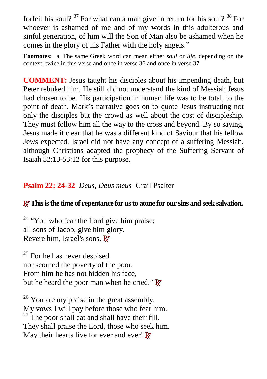forfeit his soul?  $37$  For what can a man give in return for his soul?  $38$  For whoever is ashamed of me and of my words in this adulterous and sinful generation, of him will the Son of Man also be ashamed when he comes in the glory of his Father with the holy angels."

**Footnotes:** a. The same Greek word can mean either *soul* or *life*, depending on the context; twice in this verse and once in verse 36 and once in verse 37

**COMMENT:** Jesus taught his disciples about his impending death, but Peter rebuked him. He still did not understand the kind of Messiah Jesus had chosen to be. His participation in human life was to be total, to the point of death. Mark's narrative goes on to quote Jesus instructing not only the disciples but the crowd as well about the cost of discipleship. They must follow him all the way to the cross and beyond. By so saying, Jesus made it clear that he was a different kind of Saviour that his fellow Jews expected. Israel did not have any concept of a suffering Messiah, although Christians adapted the prophecy of the Suffering Servant of Isaiah 52:13-53:12 for this purpose.

# **Psalm 22: 24-32** *Deus, Deus meus* Grail Psalter

## **RThis is the time of repentance for us to atone for our sins and seek salvation.**

 $24$  "You who fear the Lord give him praise; all sons of Jacob, give him glory. Revere him, Israel's sons. **R**

 $25$  For he has never despised nor scorned the poverty of the poor. From him he has not hidden his face, but he heard the poor man when he cried." **R**

 $26$  You are my praise in the great assembly. My vows I will pay before those who fear him.  $27$  The poor shall eat and shall have their fill. They shall praise the Lord, those who seek him. May their hearts live for ever and ever! **R**